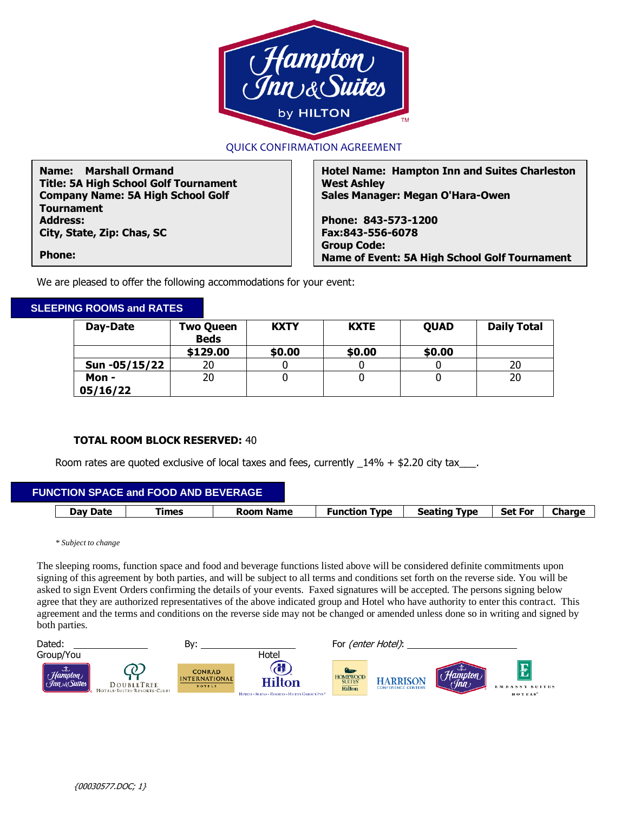

## QUICK CONFIRMATION AGREEMENT

**Name: Marshall Ormand Title: 5A High School Golf Tournament Company Name: 5A High School Golf Tournament Address: City, State, Zip: Chas, SC** 

**Hotel Name: Hampton Inn and Suites Charleston West Ashley Sales Manager: Megan O'Hara-Owen**

**Phone: 843-573-1200 Fax:843-556-6078 Group Code: Name of Event: 5A High School Golf Tournament**

**Phone: Fax:**

We are pleased to offer the following accommodations for your event:

## **SLEEPING ROOMS and RATES**

| Day-Date      | <b>Two Queen</b><br><b>Beds</b> | <b>KXTY</b> | <b>KXTE</b> | <b>OUAD</b> | <b>Daily Total</b> |
|---------------|---------------------------------|-------------|-------------|-------------|--------------------|
|               | \$129.00                        | \$0.00      | \$0.00      | \$0.00      |                    |
| Sun -05/15/22 | 20                              |             |             |             | 20                 |
| Mon -         | 20                              |             |             |             | 20                 |
| 05/16/22      |                                 |             |             |             |                    |

## **TOTAL ROOM BLOCK RESERVED:** 40

Room rates are quoted exclusive of local taxes and fees, currently  $14\% + $2.20$  city tax\_\_\_.

| FUNCTION SPACE and FOOD AND BEVERAGE |       |                  |                      |                     |                |               |
|--------------------------------------|-------|------------------|----------------------|---------------------|----------------|---------------|
| Day Date                             | Fimes | <b>Room Name</b> | <b>Function Type</b> | <b>Seating Type</b> | <b>Set For</b> | <b>Charge</b> |

*\* Subject to change*

The sleeping rooms, function space and food and beverage functions listed above will be considered definite commitments upon signing of this agreement by both parties, and will be subject to all terms and conditions set forth on the reverse side. You will be asked to sign Event Orders confirming the details of your events. Faxed signatures will be accepted. The persons signing below agree that they are authorized representatives of the above indicated group and Hotel who have authority to enter this contract. This agreement and the terms and conditions on the reverse side may not be changed or amended unless done so in writing and signed by both parties.